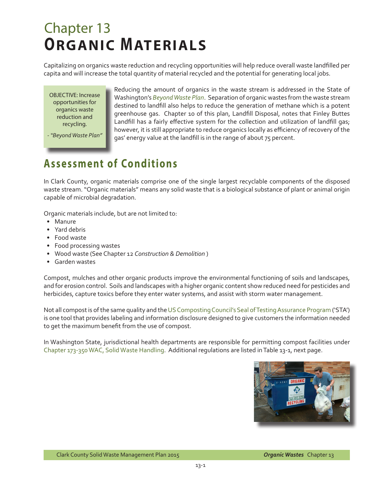## Chapter 13 **ORGANIC MATERIALS**

Capitalizing on organics waste reduction and recycling opportunities will help reduce overall waste landfilled per capita and will increase the total quantity of material recycled and the potential for generating local jobs.

OBJECTIVE: Increase opportunities for organics waste reduction and recycling.

*- "Beyond Waste Plan"* 

Reducing the amount of organics in the waste stream is addressed in the State of Washington's *[Beyond Waste Plan](http://www.ecy.wa.gov/beyondwaste/)*. Separation of organic wastes from the waste stream destined to landfill also helps to reduce the generation of methane which is a potent greenhouse gas. Chapter 10 of this plan, Landfill Disposal, notes that Finley Buttes Landfill has a fairly effective system for the collection and utilization of landfill gas; however, it is still appropriate to reduce organics locally as efficiency of recovery of the gas' energy value at the landfill is in the range of about 75 percent.

## **Assessment of Conditions**

In Clark County, organic materials comprise one of the single largest recyclable components of the disposed waste stream. "Organic materials" means any solid waste that is a biological substance of plant or animal origin capable of microbial degradation.

Organic materials include, but are not limited to:

- Manure
- Yard debris
- Food waste
- Food processing wastes
- Wood waste (See Chapter 12 *Construction & Demolition* )
- Garden wastes

Compost, mulches and other organic products improve the environmental functioning of soils and landscapes, and for erosion control. Soils and landscapes with a higher organic content show reduced need for pesticides and herbicides, capture toxics before they enter water systems, and assist with storm water management.

Not all compost is of the same quality and the [US Composting Council's Seal of Testing Assurance Program](http://compostingcouncil.org/seal-of-testing-assurance/) ('STA') is one tool that provides labeling and information disclosure designed to give customers the information needed to get the maximum benefit from the use of compost.

In Washington State, jurisdictional health departments are responsible for permitting compost facilities under [Chapter 173-350 WAC, Solid Waste Handling](http://apps.leg.wa.gov/wac/default.aspx?cite=173-350). Additional regulations are listed in Table 13-1, next page.

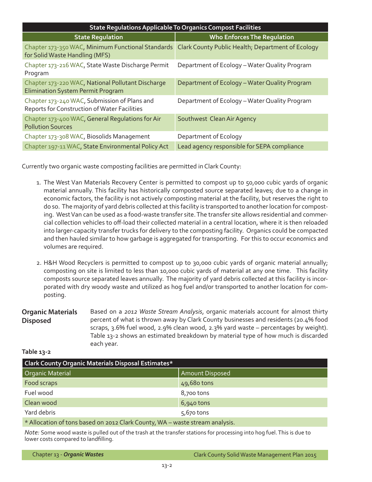| <b>State Regulations Applicable To Organics Compost Facilities</b>                           |                                                   |  |  |  |  |  |
|----------------------------------------------------------------------------------------------|---------------------------------------------------|--|--|--|--|--|
| <b>State Requlation</b>                                                                      | <b>Who Enforces The Regulation</b>                |  |  |  |  |  |
| Chapter 173-350 WAC, Minimum Functional Standards<br>for Solid Waste Handling (MFS)          | Clark County Public Health; Department of Ecology |  |  |  |  |  |
| Chapter 173-216 WAC, State Waste Discharge Permit<br>Program                                 | Department of Ecology - Water Quality Program     |  |  |  |  |  |
| Chapter 173-220 WAC, National Pollutant Discharge<br>Elimination System Permit Program       | Department of Ecology - Water Quality Program     |  |  |  |  |  |
| Chapter 173-240 WAC, Submission of Plans and<br>Reports for Construction of Water Facilities | Department of Ecology - Water Quality Program     |  |  |  |  |  |
| Chapter 173-400 WAC, General Regulations for Air<br><b>Pollution Sources</b>                 | Southwest Clean Air Agency                        |  |  |  |  |  |
| Chapter 173-308 WAC, Biosolids Management                                                    | Department of Ecology                             |  |  |  |  |  |
| Chapter 197-11 WAC, State Environmental Policy Act                                           | Lead agency responsible for SEPA compliance       |  |  |  |  |  |

Currently two organic waste composting facilities are permitted in Clark County:

- 1. The West Van Materials Recovery Center is permitted to compost up to 50,000 cubic yards of organic material annually. This facility has historically composted source separated leaves; due to a change in economic factors, the facility is not actively composting material at the facility, but reserves the right to do so. The majority of yard debris collected at this facility is transported to another location for composting. West Van can be used as a food-waste transfer site. The transfer site allows residential and commercial collection vehicles to off-load their collected material in a central location, where it is then reloaded into larger-capacity transfer trucks for delivery to the composting facility. Organics could be compacted and then hauled similar to how garbage is aggregated for transporting. For this to occur economics and volumes are required.
- 2. H&H Wood Recyclers is permitted to compost up to 30,000 cubic yards of organic material annually; composting on site is limited to less than 10,000 cubic yards of material at any one time. This facility composts source separated leaves annually. The majority of yard debris collected at this facility is incorporated with dry woody waste and utilized as hog fuel and/or transported to another location for composting.
- **Organic Materials Disposed** Based on a *2012 Waste Stream Analysis*, organic materials account for almost thirty percent of what is thrown away by Clark County businesses and residents (20.4% food scraps, 3.6% fuel wood, 2.9% clean wood, 2.3% yard waste – percentages by weight). Table 13-2 shows an estimated breakdown by material type of how much is discarded each year.

| able |  |
|------|--|
|------|--|

| <b>Clark County Organic Materials Disposal Estimates*</b>                    |                 |  |  |  |
|------------------------------------------------------------------------------|-----------------|--|--|--|
| Organic Material                                                             | Amount Disposed |  |  |  |
| Food scraps                                                                  | 49,680 tons     |  |  |  |
| Fuel wood                                                                    | 8,700 tons      |  |  |  |
| Clean wood                                                                   | $6,940$ tons    |  |  |  |
| Yard debris                                                                  | 5,670 tons      |  |  |  |
| * Allocation of tons based on 2012 Clark County, WA - waste stream analysis. |                 |  |  |  |

*Note:* Some wood waste is pulled out of the trash at the transfer stations for processing into hog fuel. This is due to lower costs compared to landfilling.

|  |  |  | Chapter 13 - Organic Wastes |
|--|--|--|-----------------------------|
|  |  |  |                             |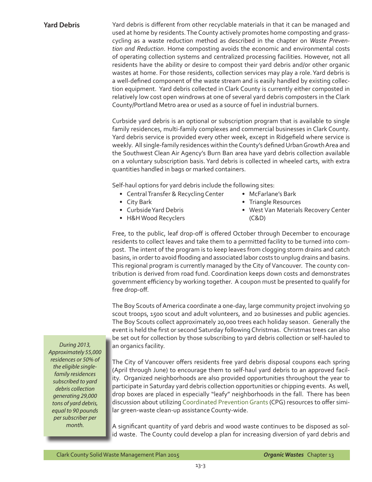**Yard Debris** Yard debris is different from other recyclable materials in that it can be managed and used at home by residents. The County actively promotes home composting and grasscycling as a waste reduction method as described in the chapter on *Waste Prevention and Reduction*. Home composting avoids the economic and environmental costs of operating collection systems and centralized processing facilities. However, not all residents have the ability or desire to compost their yard debris and/or other organic wastes at home. For those residents, collection services may play a role. Yard debris is a well-defined component of the waste stream and is easily handled by existing collection equipment. Yard debris collected in Clark County is currently either composted in relatively low cost open windrows at one of several yard debris composters in the Clark County/Portland Metro area or used as a source of fuel in industrial burners.

> Curbside yard debris is an optional or subscription program that is available to single family residences, multi-family complexes and commercial businesses in Clark County. Yard debris service is provided every other week, except in Ridgefield where service is weekly. All single-family residences within the County's defined Urban Growth Area and the Southwest Clean Air Agency's Burn Ban area have yard debris collection available on a voluntary subscription basis. Yard debris is collected in wheeled carts, with extra quantities handled in bags or marked containers.

Self-haul options for yard debris include the following sites:

- Central Transfer & Recycling Center
- City Bark
- Curbside Yard Debris
- H&H Wood Recyclers
- McFarlane's Bark
- Triangle Resources
- West Van Materials Recovery Center (C&D)

Free, to the public, leaf drop-off is offered October through December to encourage residents to collect leaves and take them to a permitted facility to be turned into compost. The intent of the program is to keep leaves from clogging storm drains and catch basins, in order to avoid flooding and associated labor costs to unplug drains and basins. This regional program is currently managed by the City of Vancouver. The county contribution is derived from road fund. Coordination keeps down costs and demonstrates government efficiency by working together. A coupon must be presented to qualify for free drop-off.

The Boy Scouts of America coordinate a one-day, large community project involving 50 scout troops, 1500 scout and adult volunteers, and 20 businesses and public agencies. The Boy Scouts collect approximately 20,000 trees each holiday season. Generally the event is held the first or second Saturday following Christmas. Christmas trees can also be set out for collection by those subscribing to yard debris collection or self-hauled to an organics facility.

The City of Vancouver offers residents free yard debris disposal coupons each spring (April through June) to encourage them to self-haul yard debris to an approved facility. Organized neighborhoods are also provided opportunities throughout the year to participate in Saturday yard debris collection opportunities or chipping events. As well, drop boxes are placed in especially "leafy" neighborhoods in the fall. There has been discussion about utilizing [Coordinated Prevention Grants](http://www.ecy.wa.gov/programs/swfa/grants/cpg.html) (CPG) resources to offer similar green-waste clean-up assistance County-wide.

A significant quantity of yard debris and wood waste continues to be disposed as solid waste. The County could develop a plan for increasing diversion of yard debris and

*During 2013, Approximately 55,000 residences or 50% of the eligible singlefamily residences subscribed to yard debris collection generating 29,000 tons of yard debris, equal to 90 pounds per subscriber per month.*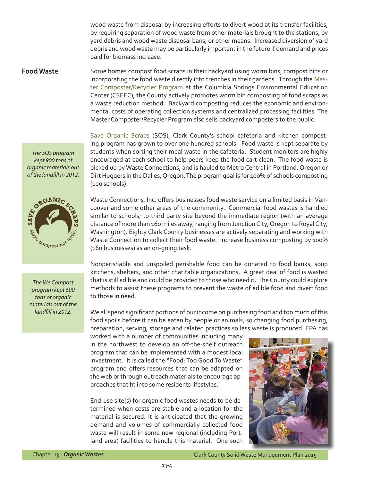wood waste from disposal by increasing efforts to divert wood at its transfer facilities, by requiring separation of wood waste from other materials brought to the stations, by yard debris and wood waste disposal bans, or other means. Increased diversion of yard debris and wood waste may be particularly important in the future if demand and prices paid for biomass increase.

*The SOS program kept 900 tons of organic materials out of the landfill in 2012.*



*The We Compost program kept 600 tons of organic materials out of the landfill in 2012.*

**Food Waste** Some homes compost food scraps in their backyard using worm bins, compost bins or incorporating the food waste directly into trenches in their gardens. Through the Master Composter/Recycler Program at the Columbia Springs Environmental Education Center (CSEEC), the County actively promotes worm bin composting of food scraps as a waste reduction method. Backyard composting reduces the economic and environmental costs of operating collection systems and centralized processing facilities. The Master Composter/Recycler Program also sells backyard composters to the public.

> [Save Organic Scraps](http://www.saveorganicscraps.com/) (SOS), Clark County's school cafeteria and kitchen composting program has grown to over one hundred schools. Food waste is kept separate by students when sorting their meal waste in the cafeteria. Student monitors are highly encouraged at each school to help peers keep the food cart clean. The food waste is picked up by Waste Connections, and is hauled to Metro Central in Portland, Oregon or Dirt Huggers in the Dalles, Oregon. The program goal is for 100% of schools composting (100 schools).

> Waste Connections, Inc. offers businesses food waste service on a limited basis in Vancouver and some other areas of the community. Commercial food wastes is handled similar to schools; to third party site beyond the immediate region (with an average distance of more than 160 miles away, ranging from Junction City, Oregon to Royal City, Washington). Eighty Clark County businesses are actively separating and working with Waste Connection to collect their food waste. Increase business composting by 100% (160 businesses) as an on-going task.

> Nonperishable and unspoiled perishable food can be donated to food banks, soup kitchens, shelters, and other charitable organizations. A great deal of food is wasted that is still edible and could be provided to those who need it. The County could explore methods to assist these programs to prevent the waste of edible food and divert food to those in need.

> We all spend significant portions of our income on purchasing food and too much of this food spoils before it can be eaten by people or animals, so changing food purchasing, preparation, serving, storage and related practices so less waste is produced. EPA has

worked with a number of communities including many in the northwest to develop an off-the-shelf outreach program that can be implemented with a modest local investment. It is called the "Food: Too Good To Waste" program and offers resources that can be adapted on the web or through outreach materials to encourage approaches that fit into some residents lifestyles.

End-use site(s) for organic food wastes needs to be determined when costs are stable and a location for the material is secured. It is anticipated that the growing demand and volumes of commercially collected food waste will result in some new regional (including Portland area) facilities to handle this material. One such



Chapter 13 - *Organic Wastes* Clark County Solid Waste Management Plan 2015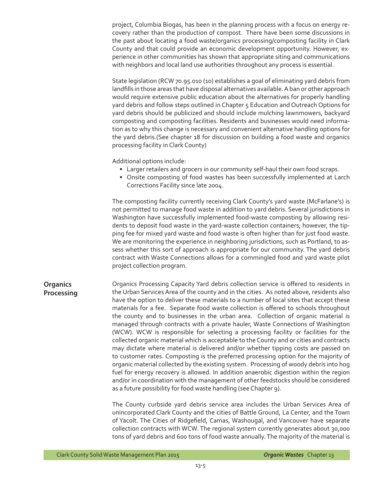project, Columbia Biogas, has been in the planning process with a focus on energy recovery rather than the production of compost. There have been some discussions in the past about locating a food waste/organics processing/composting facility in Clark County and that could provide an economic development opportunity. However, experience in other communities has shown that appropriate siting and communications with neighbors and local land use authorities throughout any process is essential.

State legislation (RCW 70.95.010 (10) establishes a goal of eliminating yard debris from landfills in those areas that have disposal alternatives available. A ban or other approach would require extensive public education about the alternatives for properly handling yard debris and follow steps outlined in Chapter 5 Education and Outreach Options for yard debris should be publicized and should include mulching lawnmowers, backyard composting and composting facilities. Residents and businesses would need information as to why this change is necessary and convenient alternative handling options for the yard debris.(See chapter 18 for discussion on building a food waste and organics processing facility in Clark County)

Additional options include:

- Larger retailers and grocers in our community self-haul their own food scraps.
- Onsite composting of food wastes has been successfully implemented at Larch Corrections Facility since late 2004.

The composting facility currently receiving Clark County's yard waste (McFarlane's) is not permitted to manage food waste in addition to yard debris. Several jurisdictions in Washington have successfully implemented food-waste composting by allowing residents to deposit food waste in the yard-waste collection containers; however, the tipping fee for mixed yard waste and food waste is often higher than for just food waste. We are monitoring the experience in neighboring jurisdictions, such as Portland, to assess whether this sort of approach is appropriate for our community. The yard debris contract with Waste Connections allows for a commingled food and yard waste pilot project collection program.

**Organics Processing** Organics Processing Capacity Yard debris collection service is offered to residents in the Urban Services Area of the county and in the cities. As noted above, residents also have the option to deliver these materials to a number of local sites that accept these materials for a fee. Separate food waste collection is offered to schools throughout the county and to businesses in the urban area. Collection of organic material is managed through contracts with a private hauler, Waste Connections of Washington (WCW). WCW is responsible for selecting a processing facility or facilities for the collected organic material which is acceptable to the County and or cities and contracts may dictate where material is delivered and/or whether tipping costs are passed on to customer rates. Composting is the preferred processing option for the majority of organic material collected by the existing system. Processing of woody debris into hog fuel for energy recovery is allowed. In addition anaerobic digestion within the region and/or in coordination with the management of other feedstocks should be considered as a future possibility for food waste handling (see Chapter 9).

> The County curbside yard debris service area includes the Urban Services Area of unincorporated Clark County and the cities of Battle Ground, La Center, and the Town of Yacolt. The Cities of Ridgefield, Camas, Washougal, and Vancouver have separate collection contracts with WCW. The regional system currently generates about 30,000 tons of yard debris and 600 tons of food waste annually. The majority of the material is